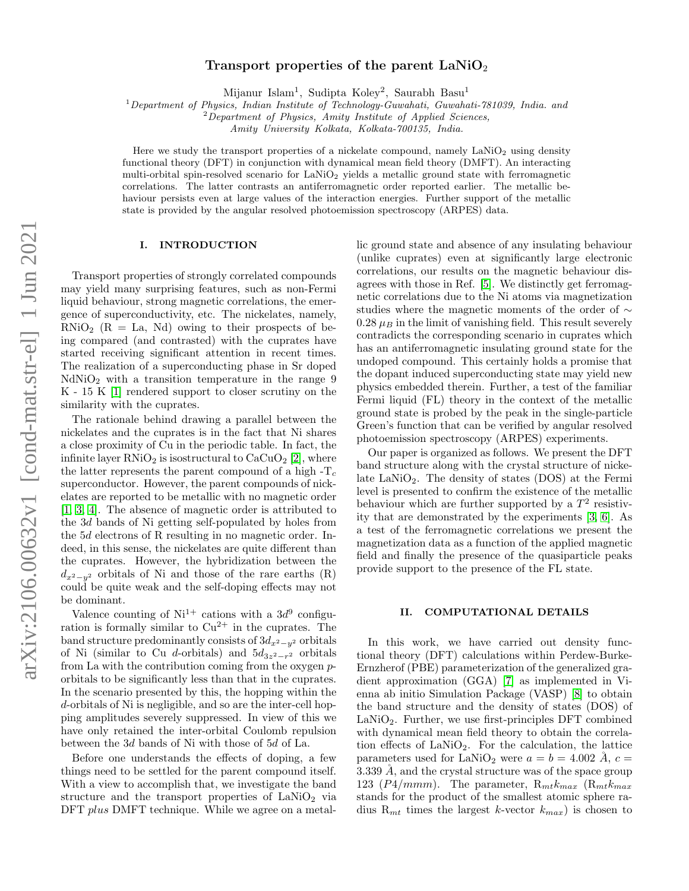## Transport properties of the parent  $\text{LaNiO}_2$

Mijanur Islam<sup>1</sup>, Sudipta Koley<sup>2</sup>, Saurabh Basu<sup>1</sup>

<sup>1</sup>Department of Physics, Indian Institute of Technology-Guwahati, Guwahati-781039, India. and

 $2$ Department of Physics, Amity Institute of Applied Sciences,

Amity University Kolkata, Kolkata-700135, India.

Here we study the transport properties of a nickelate compound, namely  $\text{LaNiO}_2$  using density functional theory (DFT) in conjunction with dynamical mean field theory (DMFT). An interacting multi-orbital spin-resolved scenario for  $\text{LANiO}_2$  yields a metallic ground state with ferromagnetic correlations. The latter contrasts an antiferromagnetic order reported earlier. The metallic behaviour persists even at large values of the interaction energies. Further support of the metallic state is provided by the angular resolved photoemission spectroscopy (ARPES) data.

## I. INTRODUCTION

Transport properties of strongly correlated compounds may yield many surprising features, such as non-Fermi liquid behaviour, strong magnetic correlations, the emergence of superconductivity, etc. The nickelates, namely,  $RNiO<sub>2</sub>$  (R = La, Nd) owing to their prospects of being compared (and contrasted) with the cuprates have started receiving significant attention in recent times. The realization of a superconducting phase in Sr doped  $NdNiO<sub>2</sub>$  with a transition temperature in the range 9 K - 15 K [\[1\]](#page-4-0) rendered support to closer scrutiny on the similarity with the cuprates.

The rationale behind drawing a parallel between the nickelates and the cuprates is in the fact that Ni shares a close proximity of Cu in the periodic table. In fact, the infinite layer  $RNiO_2$  is isostructural to  $CaCuO_2$  [\[2\]](#page-4-1), where the latter represents the parent compound of a high  $-T_c$ superconductor. However, the parent compounds of nickelates are reported to be metallic with no magnetic order [\[1,](#page-4-0) [3,](#page-4-2) [4\]](#page-4-3). The absence of magnetic order is attributed to the 3d bands of Ni getting self-populated by holes from the 5d electrons of R resulting in no magnetic order. Indeed, in this sense, the nickelates are quite different than the cuprates. However, the hybridization between the  $d_{x^2-y^2}$  orbitals of Ni and those of the rare earths (R) could be quite weak and the self-doping effects may not be dominant.

Valence counting of  $Ni^{1+}$  cations with a  $3d^9$  configuration is formally similar to  $Cu^{2+}$  in the cuprates. The band structure predominantly consists of  $3d_{x^2-y^2}$  orbitals of Ni (similar to Cu d-orbitals) and  $5d_{3z^2-r^2}$  orbitals from La with the contribution coming from the oxygen porbitals to be significantly less than that in the cuprates. In the scenario presented by this, the hopping within the d-orbitals of Ni is negligible, and so are the inter-cell hopping amplitudes severely suppressed. In view of this we have only retained the inter-orbital Coulomb repulsion between the 3d bands of Ni with those of 5d of La.

Before one understands the effects of doping, a few things need to be settled for the parent compound itself. With a view to accomplish that, we investigate the band structure and the transport properties of  $LaNiO<sub>2</sub>$  via DFT plus DMFT technique. While we agree on a metallic ground state and absence of any insulating behaviour (unlike cuprates) even at significantly large electronic correlations, our results on the magnetic behaviour disagrees with those in Ref. [\[5\]](#page-4-4). We distinctly get ferromagnetic correlations due to the Ni atoms via magnetization studies where the magnetic moments of the order of  $\sim$  $0.28 \mu_B$  in the limit of vanishing field. This result severely contradicts the corresponding scenario in cuprates which has an antiferromagnetic insulating ground state for the undoped compound. This certainly holds a promise that the dopant induced superconducting state may yield new physics embedded therein. Further, a test of the familiar Fermi liquid (FL) theory in the context of the metallic ground state is probed by the peak in the single-particle Green's function that can be verified by angular resolved photoemission spectroscopy (ARPES) experiments.

Our paper is organized as follows. We present the DFT band structure along with the crystal structure of nickelate LaNi $O_2$ . The density of states (DOS) at the Fermi level is presented to confirm the existence of the metallic behaviour which are further supported by a  $T^2$  resistivity that are demonstrated by the experiments [\[3,](#page-4-2) [6\]](#page-4-5). As a test of the ferromagnetic correlations we present the magnetization data as a function of the applied magnetic field and finally the presence of the quasiparticle peaks provide support to the presence of the FL state.

## II. COMPUTATIONAL DETAILS

In this work, we have carried out density functional theory (DFT) calculations within Perdew-Burke-Ernzherof (PBE) parameterization of the generalized gradient approximation (GGA) [\[7\]](#page-4-6) as implemented in Vienna ab initio Simulation Package (VASP) [\[8\]](#page-4-7) to obtain the band structure and the density of states (DOS) of  $\text{LaNiO}_2$ . Further, we use first-principles DFT combined with dynamical mean field theory to obtain the correlation effects of  $\text{LaNiO}_2$ . For the calculation, the lattice parameters used for LaNiO<sub>2</sub> were  $a = b = 4.002 \text{ Å}, c =$  $3.339$  Å, and the crystal structure was of the space group 123 ( $P4/mmm$ ). The parameter,  $R_{mt}k_{max}$  ( $R_{mt}k_{max}$ ) stands for the product of the smallest atomic sphere radius  $R_{mt}$  times the largest k-vector  $k_{max}$ ) is chosen to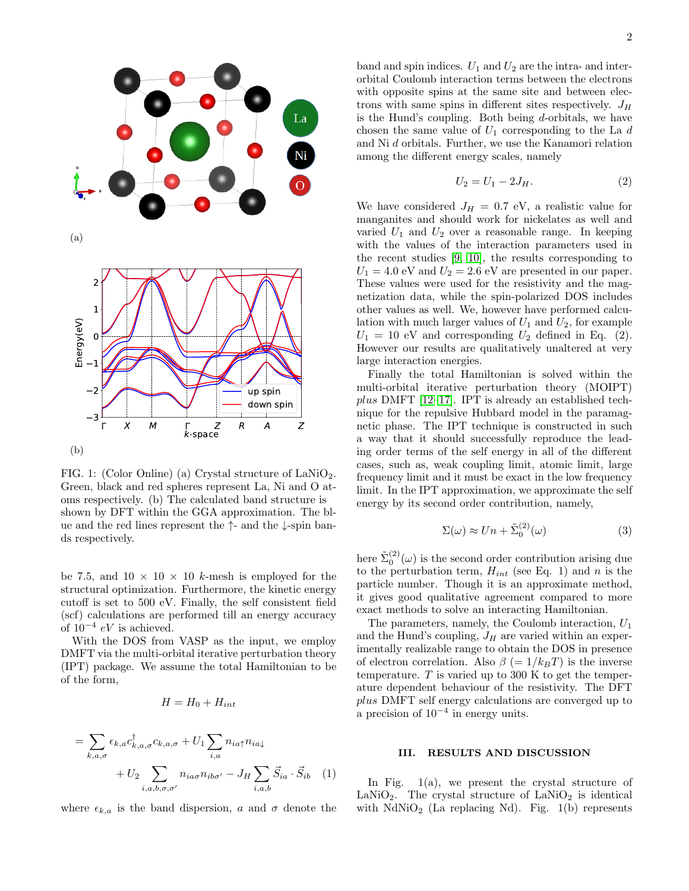

FIG. 1: (Color Online) (a) Crystal structure of  $\text{LaNiO}_2$ . Green, black and red spheres represent La, Ni and O atoms respectively. (b) The calculated band structure is shown by DFT within the GGA approximation. The blue and the red lines represent the ↑- and the ↓-spin bands respectively.

be 7.5, and  $10 \times 10 \times 10$  k-mesh is employed for the structural optimization. Furthermore, the kinetic energy cutoff is set to 500 eV. Finally, the self consistent field (scf) calculations are performed till an energy accuracy of  $10^{-4}$  eV is achieved.

With the DOS from VASP as the input, we employ DMFT via the multi-orbital iterative perturbation theory (IPT) package. We assume the total Hamiltonian to be of the form,

$$
H = H_0 + H_{int}
$$

$$
= \sum_{k,a,\sigma} \epsilon_{k,a} c_{k,a,\sigma}^{\dagger} c_{k,a,\sigma} + U_1 \sum_{i,a} n_{ia\uparrow} n_{ia\downarrow} + U_2 \sum_{i,a,b,\sigma,\sigma'} n_{ia\sigma} n_{ib\sigma'} - J_H \sum_{i,a,b} \vec{S}_{ia} \cdot \vec{S}_{ib} \quad (1)
$$

where  $\epsilon_{k,a}$  is the band dispersion, a and  $\sigma$  denote the

band and spin indices.  $U_1$  and  $U_2$  are the intra- and interorbital Coulomb interaction terms between the electrons with opposite spins at the same site and between electrons with same spins in different sites respectively.  ${\cal J}_H$ is the Hund's coupling. Both being  $d$ -orbitals, we have chosen the same value of  $U_1$  corresponding to the La  $d$ and Ni d orbitals. Further, we use the Kanamori relation among the different energy scales, namely

$$
U_2 = U_1 - 2J_H.
$$
 (2)

We have considered  $J_H = 0.7$  eV, a realistic value for manganites and should work for nickelates as well and varied  $U_1$  and  $U_2$  over a reasonable range. In keeping with the values of the interaction parameters used in the recent studies [\[9,](#page-4-8) [10\]](#page-4-9), the results corresponding to  $U_1 = 4.0$  eV and  $U_2 = 2.6$  eV are presented in our paper. These values were used for the resistivity and the magnetization data, while the spin-polarized DOS includes other values as well. We, however have performed calculation with much larger values of  $U_1$  and  $U_2$ , for example  $U_1 = 10$  eV and corresponding  $U_2$  defined in Eq. (2). However our results are qualitatively unaltered at very large interaction energies.

Finally the total Hamiltonian is solved within the multi-orbital iterative perturbation theory (MOIPT) plus DMFT  $[12-17]$ . IPT is already an established technique for the repulsive Hubbard model in the paramagnetic phase. The IPT technique is constructed in such a way that it should successfully reproduce the leading order terms of the self energy in all of the different cases, such as, weak coupling limit, atomic limit, large frequency limit and it must be exact in the low frequency limit. In the IPT approximation, we approximate the self energy by its second order contribution, namely,

$$
\Sigma(\omega) \approx Un + \tilde{\Sigma}_0^{(2)}(\omega) \tag{3}
$$

here  $\tilde{\Sigma}_0^{(2)}(\omega)$  is the second order contribution arising due to the perturbation term,  $H_{int}$  (see Eq. 1) and n is the particle number. Though it is an approximate method, it gives good qualitative agreement compared to more exact methods to solve an interacting Hamiltonian.

The parameters, namely, the Coulomb interaction,  $U_1$ and the Hund's coupling,  $J_H$  are varied within an experimentally realizable range to obtain the DOS in presence of electron correlation. Also  $\beta$  (=  $1/k_BT$ ) is the inverse temperature.  $T$  is varied up to 300 K to get the temperature dependent behaviour of the resistivity. The DFT plus DMFT self energy calculations are converged up to a precision of  $10^{-4}$  in energy units.

## III. RESULTS AND DISCUSSION

In Fig. 1(a), we present the crystal structure of LaNiO<sub>2</sub>. The crystal structure of LaNiO<sub>2</sub> is identical with  $NdNiO<sub>2</sub>$  (La replacing Nd). Fig. 1(b) represents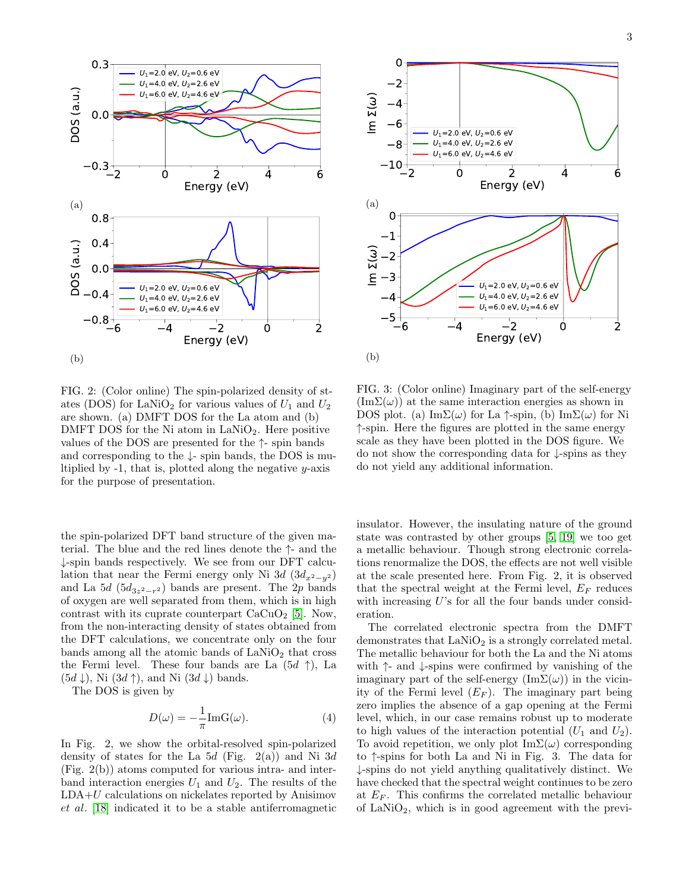

FIG. 2: (Color online) The spin-polarized density of states (DOS) for LaNiO<sub>2</sub> for various values of  $U_1$  and  $U_2$ are shown. (a) DMFT DOS for the La atom and (b) DMFT DOS for the Ni atom in  $\text{LaNiO}_2$ . Here positive values of the DOS are presented for the ↑- spin bands and corresponding to the  $\downarrow$ - spin bands, the DOS is multiplied by  $-1$ , that is, plotted along the negative y-axis for the purpose of presentation.

the spin-polarized DFT band structure of the given material. The blue and the red lines denote the ↑- and the ↓-spin bands respectively. We see from our DFT calculation that near the Fermi energy only Ni 3d  $(3d_{x^2-y^2})$ and La  $5d (5d_{3z^2-r^2})$  bands are present. The 2p bands of oxygen are well separated from them, which is in high contrast with its cuprate counterpart  $CaCuO<sub>2</sub>$  [\[5\]](#page-4-4). Now, from the non-interacting density of states obtained from the DFT calculations, we concentrate only on the four bands among all the atomic bands of  $\text{LaNiO}_2$  that cross the Fermi level. These four bands are La  $(5d \uparrow)$ , La  $(5d \downarrow)$ , Ni  $(3d \uparrow)$ , and Ni  $(3d \downarrow)$  bands.

The DOS is given by

$$
D(\omega) = -\frac{1}{\pi} \text{Im} \mathcal{G}(\omega).
$$
 (4)

In Fig. 2, we show the orbital-resolved spin-polarized density of states for the La  $5d$  (Fig. 2(a)) and Ni  $3d$ (Fig. 2(b)) atoms computed for various intra- and interband interaction energies  $U_1$  and  $U_2$ . The results of the  $LDA+U$  calculations on nickelates reported by Anisimov



FIG. 3: (Color online) Imaginary part of the self-energy  $(Im\Sigma(\omega))$  at the same interaction energies as shown in DOS plot. (a) Im $\Sigma(\omega)$  for La  $\uparrow$ -spin, (b) Im $\Sigma(\omega)$  for Ni ↑-spin. Here the figures are plotted in the same energy scale as they have been plotted in the DOS figure. We do not show the corresponding data for ↓-spins as they do not yield any additional information.

insulator. However, the insulating nature of the ground state was contrasted by other groups [\[5,](#page-4-4) [19\]](#page-4-13) we too get a metallic behaviour. Though strong electronic correlations renormalize the DOS, the effects are not well visible at the scale presented here. From Fig. 2, it is observed that the spectral weight at the Fermi level,  $E_F$  reduces with increasing  $U$ 's for all the four bands under consideration.

The correlated electronic spectra from the DMFT demonstrates that  $\text{LaNiO}_2$  is a strongly correlated metal. The metallic behaviour for both the La and the Ni atoms with ↑- and ↓-spins were confirmed by vanishing of the imaginary part of the self-energy  $(Im\Sigma(\omega))$  in the vicinity of the Fermi level  $(E_F)$ . The imaginary part being zero implies the absence of a gap opening at the Fermi level, which, in our case remains robust up to moderate to high values of the interaction potential  $(U_1 \text{ and } U_2)$ . To avoid repetition, we only plot  $\text{Im}\Sigma(\omega)$  corresponding to ↑-spins for both La and Ni in Fig. 3. The data for ↓-spins do not yield anything qualitatively distinct. We have checked that the spectral weight continues to be zero at  $E_F$ . This confirms the correlated metallic behaviour of  $\text{LaNiO}_2$ , which is in good agreement with the previ-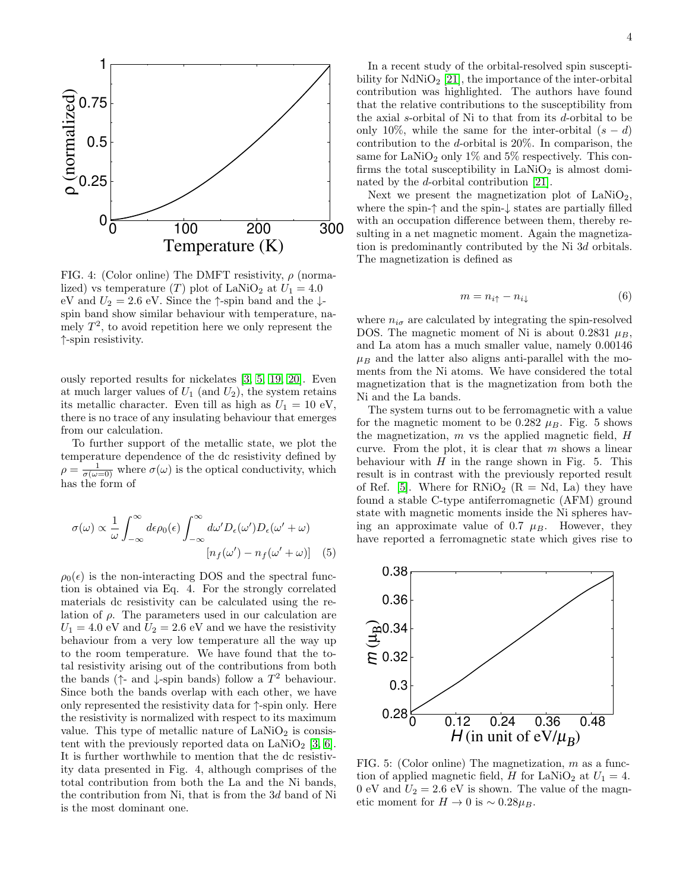

FIG. 4: (Color online) The DMFT resistivity,  $\rho$  (normalized) vs temperature (T) plot of LaNiO<sub>2</sub> at  $U_1 = 4.0$ eV and  $U_2 = 2.6$  eV. Since the  $\uparrow$ -spin band and the  $\downarrow$ spin band show similar behaviour with temperature, namely  $T^2$ , to avoid repetition here we only represent the ↑-spin resistivity.

ously reported results for nickelates [\[3,](#page-4-2) [5,](#page-4-4) [19,](#page-4-13) [20\]](#page-4-14). Even at much larger values of  $U_1$  (and  $U_2$ ), the system retains its metallic character. Even till as high as  $U_1 = 10$  eV, there is no trace of any insulating behaviour that emerges from our calculation.

To further support of the metallic state, we plot the temperature dependence of the dc resistivity defined by  $\rho = \frac{1}{\sigma(\omega=0)}$  where  $\sigma(\omega)$  is the optical conductivity, which has the form of

$$
\sigma(\omega) \propto \frac{1}{\omega} \int_{-\infty}^{\infty} d\epsilon \rho_0(\epsilon) \int_{-\infty}^{\infty} d\omega' D_{\epsilon}(\omega') D_{\epsilon}(\omega' + \omega)
$$

$$
[n_f(\omega') - n_f(\omega' + \omega)] \quad (5)
$$

 $\rho_0(\epsilon)$  is the non-interacting DOS and the spectral function is obtained via Eq. 4. For the strongly correlated materials dc resistivity can be calculated using the relation of  $\rho$ . The parameters used in our calculation are  $U_1 = 4.0$  eV and  $U_2 = 2.6$  eV and we have the resistivity behaviour from a very low temperature all the way up to the room temperature. We have found that the total resistivity arising out of the contributions from both the bands ( $\uparrow$ - and  $\downarrow$ -spin bands) follow a  $T^2$  behaviour. Since both the bands overlap with each other, we have only represented the resistivity data for ↑-spin only. Here the resistivity is normalized with respect to its maximum value. This type of metallic nature of  $\text{LaNiO}_2$  is consistent with the previously reported data on  $\text{LaNiO}_2$  [\[3,](#page-4-2) [6\]](#page-4-5). It is further worthwhile to mention that the dc resistivity data presented in Fig. 4, although comprises of the total contribution from both the La and the Ni bands, the contribution from Ni, that is from the 3d band of Ni is the most dominant one.

In a recent study of the orbital-resolved spin susceptibility for  $NdNiO<sub>2</sub>$  [\[21\]](#page-5-0), the importance of the inter-orbital contribution was highlighted. The authors have found that the relative contributions to the susceptibility from the axial s-orbital of Ni to that from its d-orbital to be only 10%, while the same for the inter-orbital  $(s - d)$ contribution to the d-orbital is 20%. In comparison, the same for  $\text{LaNiO}_2$  only 1% and 5% respectively. This confirms the total susceptibility in  $\text{LaNiO}_2$  is almost dominated by the d-orbital contribution [\[21\]](#page-5-0).

Next we present the magnetization plot of  $\text{LaNiO}_2$ , where the spin-↑ and the spin-↓ states are partially filled with an occupation difference between them, thereby resulting in a net magnetic moment. Again the magnetization is predominantly contributed by the Ni 3d orbitals. The magnetization is defined as

$$
m = n_{i\uparrow} - n_{i\downarrow} \tag{6}
$$

where  $n_{i\sigma}$  are calculated by integrating the spin-resolved DOS. The magnetic moment of Ni is about 0.2831  $\mu_B$ , and La atom has a much smaller value, namely 0.00146  $\mu_B$  and the latter also aligns anti-parallel with the moments from the Ni atoms. We have considered the total magnetization that is the magnetization from both the Ni and the La bands.

The system turns out to be ferromagnetic with a value for the magnetic moment to be 0.282  $\mu$ B. Fig. 5 shows the magnetization,  $m$  vs the applied magnetic field,  $H$ curve. From the plot, it is clear that  $m$  shows a linear behaviour with  $H$  in the range shown in Fig. 5. This result is in contrast with the previously reported result of Ref. [\[5\]](#page-4-4). Where for  $RNiO_2$  (R = Nd, La) they have found a stable C-type antiferromagnetic (AFM) ground state with magnetic moments inside the Ni spheres having an approximate value of 0.7  $\mu_B$ . However, they have reported a ferromagnetic state which gives rise to



FIG. 5: (Color online) The magnetization,  $m$  as a function of applied magnetic field, H for LaNiO<sub>2</sub> at  $U_1 = 4$ . 0 eV and  $U_2 = 2.6$  eV is shown. The value of the magnetic moment for  $H \to 0$  is ~ 0.28 $\mu_B$ .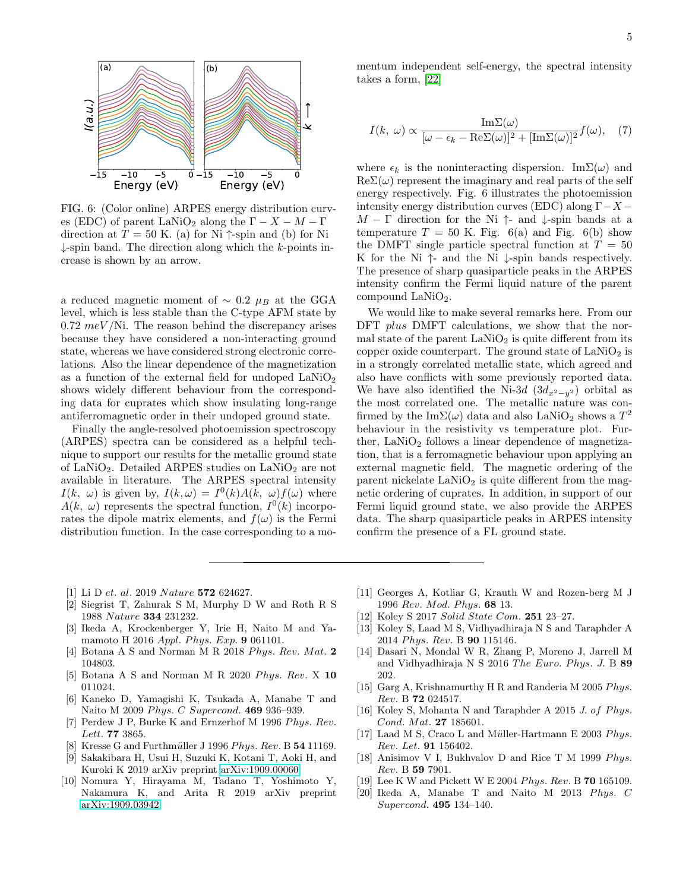

FIG. 6: (Color online) ARPES energy distribution curves (EDC) of parent LaNiO<sub>2</sub> along the  $\Gamma - X - M - \Gamma$ direction at  $T = 50$  K. (a) for Ni  $\uparrow$ -spin and (b) for Ni  $\downarrow$ -spin band. The direction along which the k-points increase is shown by an arrow.

a reduced magnetic moment of  $\sim$  0.2  $\mu$ <sub>B</sub> at the GGA level, which is less stable than the C-type AFM state by  $0.72$  meV/Ni. The reason behind the discrepancy arises because they have considered a non-interacting ground state, whereas we have considered strong electronic correlations. Also the linear dependence of the magnetization as a function of the external field for undoped  $\text{LaNiO}_2$ shows widely different behaviour from the corresponding data for cuprates which show insulating long-range antiferromagnetic order in their undoped ground state.

Finally the angle-resolved photoemission spectroscopy (ARPES) spectra can be considered as a helpful technique to support our results for the metallic ground state of LaNiO<sub>2</sub>. Detailed ARPES studies on  $\text{LaNiO}_2$  are not available in literature. The ARPES spectral intensity  $I(k, \omega)$  is given by,  $I(k, \omega) = I^{0}(k)A(k, \omega)f(\omega)$  where  $A(k, \omega)$  represents the spectral function,  $I^{0}(k)$  incorporates the dipole matrix elements, and  $f(\omega)$  is the Fermi distribution function. In the case corresponding to a momentum independent self-energy, the spectral intensity takes a form, [\[22\]](#page-5-1)

$$
I(k, \omega) \propto \frac{\text{Im}\Sigma(\omega)}{[\omega - \epsilon_k - \text{Re}\Sigma(\omega)]^2 + [\text{Im}\Sigma(\omega)]^2} f(\omega), \quad (7)
$$

where  $\epsilon_k$  is the noninteracting dispersion. Im $\Sigma(\omega)$  and  $\text{Re}\Sigma(\omega)$  represent the imaginary and real parts of the self energy respectively. Fig. 6 illustrates the photoemission intensity energy distribution curves (EDC) along  $\Gamma - X M - \Gamma$  direction for the Ni  $\uparrow$ - and  $\downarrow$ -spin bands at a temperature  $T = 50$  K. Fig. 6(a) and Fig. 6(b) show the DMFT single particle spectral function at  $T = 50$ K for the Ni  $\uparrow$ - and the Ni  $\downarrow$ -spin bands respectively. The presence of sharp quasiparticle peaks in the ARPES intensity confirm the Fermi liquid nature of the parent compound  $\text{LaNiO}_2$ .

We would like to make several remarks here. From our DFT plus DMFT calculations, we show that the normal state of the parent  $\text{LaNiO}_2$  is quite different from its copper oxide counterpart. The ground state of  $\text{LaNiO}_2$  is in a strongly correlated metallic state, which agreed and also have conflicts with some previously reported data. We have also identified the Ni-3d  $(3d_{x^2-y^2})$  orbital as the most correlated one. The metallic nature was confirmed by the  $\text{Im}\Sigma(\omega)$  data and also LaNiO<sub>2</sub> shows a  $T^2$ behaviour in the resistivity vs temperature plot. Further,  $LaNiO<sub>2</sub>$  follows a linear dependence of magnetization, that is a ferromagnetic behaviour upon applying an external magnetic field. The magnetic ordering of the parent nickelate  $\text{LaNiO}_2$  is quite different from the magnetic ordering of cuprates. In addition, in support of our Fermi liquid ground state, we also provide the ARPES data. The sharp quasiparticle peaks in ARPES intensity confirm the presence of a FL ground state.

- <span id="page-4-0"></span>[1] Li D et. al. 2019 Nature 572 624627.
- <span id="page-4-1"></span>[2] Siegrist T, Zahurak S M, Murphy D W and Roth R S 1988 Nature 334 231232.
- <span id="page-4-2"></span>[3] Ikeda A, Krockenberger Y, Irie H, Naito M and Yamamoto H 2016 Appl. Phys. Exp.  $9$  061101.
- <span id="page-4-3"></span>[4] Botana A S and Norman M R 2018 Phys. Rev. Mat.  $2$ 104803.
- <span id="page-4-4"></span>[5] Botana A S and Norman M R 2020  $Phys. Rev. X 10$ 011024.
- <span id="page-4-5"></span>[6] Kaneko D, Yamagishi K, Tsukada A, Manabe T and Naito M 2009 Phys. C Supercond. 469 936-939.
- <span id="page-4-6"></span>[7] Perdew J P, Burke K and Ernzerhof M 1996  $Phys. Rev.$ Lett. 77 3865.
- <span id="page-4-7"></span>[8] Kresse G and Furthmüller J 1996 Phys. Rev. B  $54$  11169.
- <span id="page-4-8"></span>[9] Sakakibara H, Usui H, Suzuki K, Kotani T, Aoki H, and Kuroki K 2019 arXiv preprint [arXiv:1909.00060.](http://arxiv.org/abs/1909.00060)
- <span id="page-4-9"></span>[10] Nomura Y, Hirayama M, Tadano T, Yoshimoto Y, Nakamura K, and Arita R 2019 arXiv preprint [arXiv:1909.03942.](http://arxiv.org/abs/1909.03942)
- [11] Georges A, Kotliar G, Krauth W and Rozen-berg M J 1996 Rev. Mod. Phys. 68 13.
- <span id="page-4-10"></span>[12] Koley S 2017 Solid State Com. 251 23–27.
- [13] Koley S, Laad M S, Vidhyadhiraja N S and Taraphder A 2014 *Phys. Rev.* B **90** 115146.
- [14] Dasari N, Mondal W R, Zhang P, Moreno J, Jarrell M and Vidhyadhiraja N S 2016 The Euro. Phys. J. B  $89$ 202.
- [15] Garg A, Krishnamurthy H R and Randeria M 2005  $Phys.$ Rev. B 72 024517.
- [16] Koley S, Mohanta N and Taraphder A 2015 J. of Phys. Cond. Mat. 27 185601.
- <span id="page-4-11"></span>[17] Laad M S, Craco L and Müller-Hartmann E 2003 Phys. Rev. Let. 91 156402.
- <span id="page-4-12"></span>[18] Anisimov V I, Bukhvalov D and Rice T M 1999  $Phys.$ Rev. B 59 7901.
- <span id="page-4-13"></span>[19] Lee K W and Pickett W E 2004 Phys. Rev. B  $70$  165109.
- <span id="page-4-14"></span>[20] Ikeda A, Manabe T and Naito M 2013  $Phys. C$ Supercond. 495 134–140.